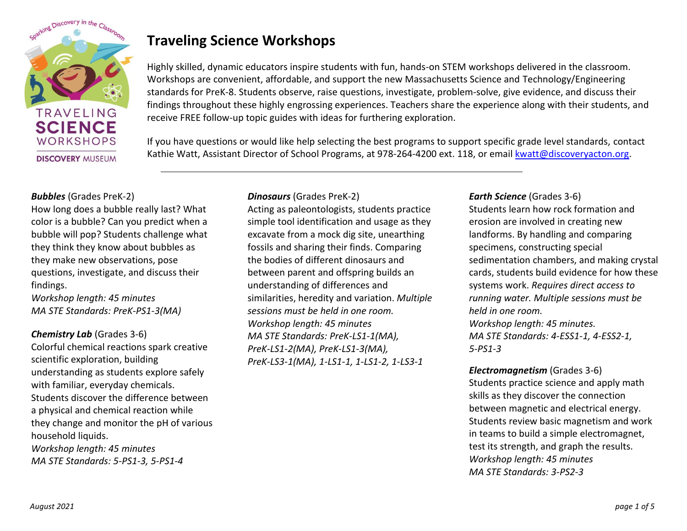

# **Traveling Science Workshops**

Highly skilled, dynamic educators inspire students with fun, hands-on STEM workshops delivered in the classroom. Workshops are convenient, affordable, and support the new Massachusetts Science and Technology/Engineering standards for PreK-8. Students observe, raise questions, investigate, problem-solve, give evidence, and discuss their findings throughout these highly engrossing experiences. Teachers share the experience along with their students, and receive FREE follow-up topic guides with ideas for furthering exploration.

If you have questions or would like help selecting the best programs to support specific grade level standards, contact Kathie Watt, Assistant Director of School Programs, at 978-264-4200 ext. 118, or emai[l kwatt@discoveryacton.org.](mailto:kwatt@discoveryacton.org)

# *Bubbles* (Grades PreK-2)

How long does a bubble really last? What color is a bubble? Can you predict when a bubble will pop? Students challenge what they think they know about bubbles as they make new observations, pose questions, investigate, and discuss their findings.

*Workshop length: 45 minutes MA STE Standards: PreK-PS1-3(MA)*

*Chemistry Lab* (Grades 3-6) Colorful chemical reactions spark creative scientific exploration, building understanding as students explore safely with familiar, everyday chemicals. Students discover the difference between a physical and chemical reaction while they change and monitor the pH of various household liquids. *Workshop length: 45 minutes MA STE Standards: 5-PS1-3, 5-PS1-4*

# *Dinosaurs* (Grades PreK-2)

Acting as paleontologists, students practice simple tool identification and usage as they excavate from a mock dig site, unearthing fossils and sharing their finds. Comparing the bodies of different dinosaurs and between parent and offspring builds an understanding of differences and similarities, heredity and variation. *Multiple sessions must be held in one room. Workshop length: 45 minutes MA STE Standards: PreK-LS1-1(MA), PreK-LS1-2(MA), PreK-LS1-3(MA), PreK-LS3-1(MA), 1-LS1-1, 1-LS1-2, 1-LS3-1*

*Earth Science* (Grades 3-6) Students learn how rock formation and erosion are involved in creating new landforms. By handling and comparing specimens, constructing special sedimentation chambers, and making crystal cards, students build evidence for how these systems work. *Requires direct access to running water. Multiple sessions must be held in one room. Workshop length: 45 minutes. MA STE Standards: 4-ESS1-1, 4-ESS2-1, 5-PS1-3*

# *Electromagnetism* (Grades 3-6)

Students practice science and apply math skills as they discover the connection between magnetic and electrical energy. Students review basic magnetism and work in teams to build a simple electromagnet, test its strength, and graph the results. *Workshop length: 45 minutes MA STE Standards: 3-PS2-3*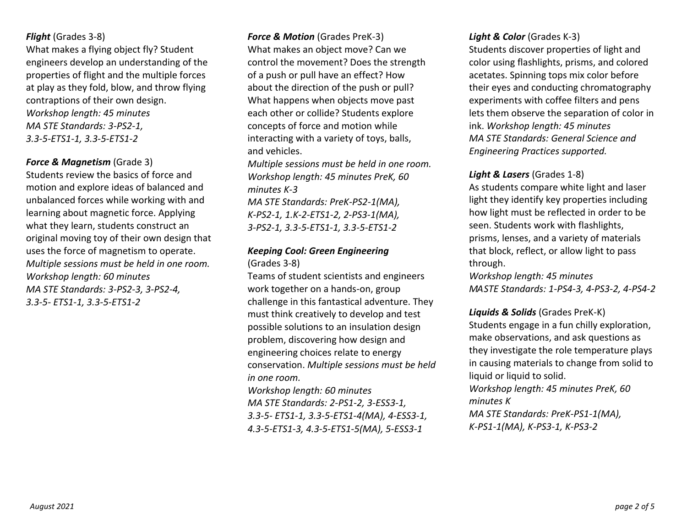## *Flight* (Grades 3-8)

What makes a flying object fly? Student engineers develop an understanding of the properties of flight and the multiple forces at play as they fold, blow, and throw flying contraptions of their own design. *Workshop length: 45 minutes MA STE Standards: 3-PS2-1, 3.3-5-ETS1-1, 3.3-5-ETS1-2*

## *Force & Magnetism* (Grade 3)

Students review the basics of force and motion and explore ideas of balanced and unbalanced forces while working with and learning about magnetic force. Applying what they learn, students construct an original moving toy of their own design that uses the force of magnetism to operate. *Multiple sessions must be held in one room. Workshop length: 60 minutes MA STE Standards: 3-PS2-3, 3-PS2-4, 3.3-5- ETS1-1, 3.3-5-ETS1-2*

#### *Force & Motion (Grades PreK-3)*

What makes an object move? Can we control the movement? Does the strength of a push or pull have an effect? How about the direction of the push or pull? What happens when objects move past each other or collide? Students explore concepts of force and motion while interacting with a variety of toys, balls, and vehicles.

*Multiple sessions must be held in one room. Workshop length: 45 minutes PreK, 60 minutes K-3* 

*MA STE Standards: PreK-PS2-1(MA), K-PS2-1, 1.K-2-ETS1-2, 2-PS3-1(MA), 3-PS2-1, 3.3-5-ETS1-1, 3.3-5-ETS1-2*

## *Keeping Cool: Green Engineering* (Grades 3-8)

Teams of student scientists and engineers work together on a hands-on, group challenge in this fantastical adventure. They must think creatively to develop and test possible solutions to an insulation design problem, discovering how design and engineering choices relate to energy conservation. *Multiple sessions must be held in one room.*

*Workshop length: 60 minutes MA STE Standards: 2-PS1-2, 3-ESS3-1, 3.3-5- ETS1-1, 3.3-5-ETS1-4(MA), 4-ESS3-1, 4.3-5-ETS1-3, 4.3-5-ETS1-5(MA), 5-ESS3-1*

#### *Light & Color* (Grades K-3)

Students discover properties of light and color using flashlights, prisms, and colored acetates. Spinning tops mix color before their eyes and conducting chromatography experiments with coffee filters and pens lets them observe the separation of color in ink. *Workshop length: 45 minutes MA STE Standards: General Science and Engineering Practices supported.*

#### *Light & Lasers* (Grades 1-8)

As students compare white light and laser light they identify key properties including how light must be reflected in order to be seen. Students work with flashlights, prisms, lenses, and a variety of materials that block, reflect, or allow light to pass through.

*Workshop length: 45 minutes MA STE Standards: 1-PS4-3, 4-PS3-2, 4-PS4-2*

*Liquids & Solids* (Grades PreK-K) Students engage in a fun chilly exploration, make observations, and ask questions as they investigate the role temperature plays in causing materials to change from solid to liquid or liquid to solid. *Workshop length: 45 minutes PreK, 60 minutes K MA STE Standards: PreK-PS1-1(MA), K-PS1-1(MA), K-PS3-1, K-PS3-2*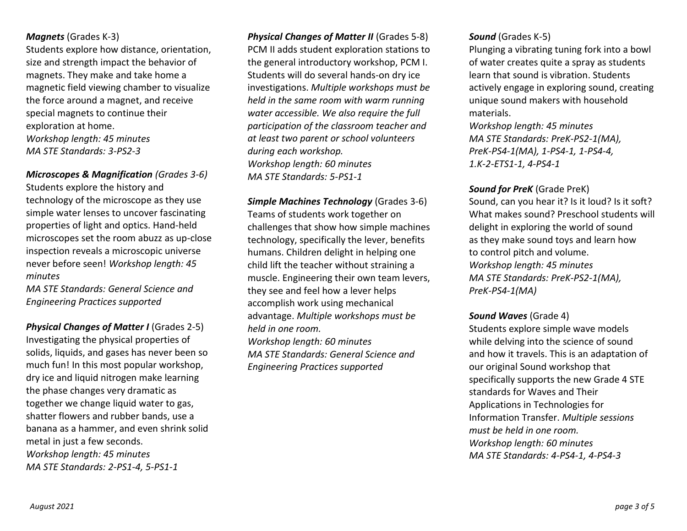# *Magnets* (Grades K-3)

Students explore how distance, orientation, size and strength impact the behavior of magnets. They make and take home a magnetic field viewing chamber to visualize the force around a magnet, and receive special magnets to continue their exploration at home. *Workshop length: 45 minutes MA STE Standards: 3-PS2-3*

*Microscopes & Magnification (Grades 3-6)*

Students explore the history and technology of the microscope as they use simple water lenses to uncover fascinating properties of light and optics. Hand-held microscopes set the room abuzz as up-close inspection reveals a microscopic universe never before seen! *Workshop length: 45 minutes*

*MA STE Standards: General Science and Engineering Practices supported*

**Physical Changes of Matter I (Grades 2-5)** Investigating the physical properties of solids, liquids, and gases has never been so much fun! In this most popular workshop, dry ice and liquid nitrogen make learning the phase changes very dramatic as together we change liquid water to gas, shatter flowers and rubber bands, use a banana as a hammer, and even shrink solid metal in just a few seconds. *Workshop length: 45 minutes MA STE Standards: 2-PS1-4, 5-PS1-1*

#### **Physical Changes of Matter II (Grades 5-8)**

PCM II adds student exploration stations to the general introductory workshop, PCM I. Students will do several hands-on dry ice investigations. *Multiple workshops must be held in the same room with warm running water accessible. We also require the full participation of the classroom teacher and at least two parent or school volunteers during each workshop. Workshop length: 60 minutes MA STE Standards: 5-PS1-1*

*Simple Machines Technology* (Grades 3-6) Teams of students work together on challenges that show how simple machines technology, specifically the lever, benefits humans. Children delight in helping one child lift the teacher without straining a muscle. Engineering their own team levers, they see and feel how a lever helps accomplish work using mechanical advantage. *Multiple workshops must be held in one room. Workshop length: 60 minutes MA STE Standards: General Science and Engineering Practices supported*

#### *Sound* (Grades K-5)

Plunging a vibrating tuning fork into a bowl of water creates quite a spray as students learn that sound is vibration. Students actively engage in exploring sound, creating unique sound makers with household materials.

*Workshop length: 45 minutes MA STE Standards: PreK-PS2-1(MA), PreK-PS4-1(MA), 1-PS4-1, 1-PS4-4, 1.K-2-ETS1-1, 4-PS4-1*

*Sound for PreK* (Grade PreK)

Sound, can you hear it? Is it loud? Is it soft? What makes sound? Preschool students will delight in exploring the world of sound as they make sound toys and learn how to control pitch and volume. *Workshop length: 45 minutes MA STE Standards: PreK-PS2-1(MA), PreK-PS4-1(MA)*

## *Sound Waves* (Grade 4)

Students explore simple wave models while delving into the science of sound and how it travels. This is an adaptation of our original Sound workshop that specifically supports the new Grade 4 STE standards for Waves and Their Applications in Technologies for Information Transfer. *Multiple sessions must be held in one room. Workshop length: 60 minutes MA STE Standards: 4-PS4-1, 4-PS4-3*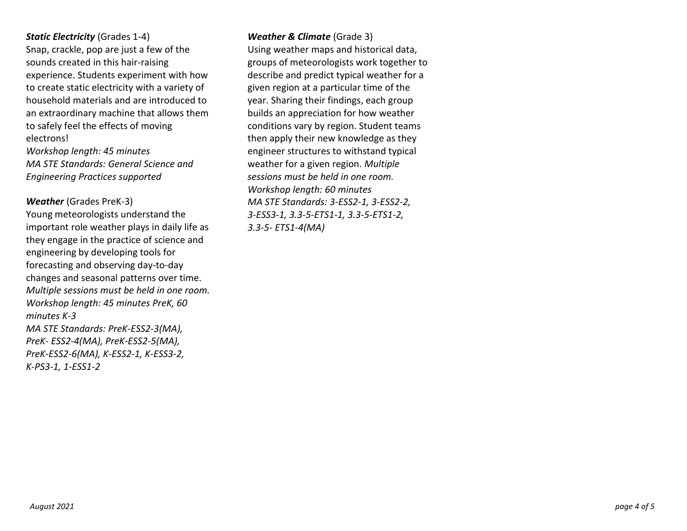*Static Electricity* (Grades 1-4) Snap, crackle, pop are just a few of the sounds created in this hair-raising experience. Students experiment with how to create static electricity with a variety of household materials and are introduced to an extraordinary machine that allows them to safely feel the effects of moving electrons! *Workshop length: 45 minutes*

*MA STE Standards: General Science and Engineering Practices supported*

#### *Weather* (Grades PreK-3)

Young meteorologists understand the important role weather plays in daily life as they engage in the practice of science and engineering by developing tools for forecasting and observing day-to-day changes and seasonal patterns over time. *Multiple sessions must be held in one room. Workshop length: 45 minutes PreK, 60 minutes K-3 MA STE Standards: PreK-ESS2-3(MA), PreK- ESS2-4(MA), PreK-ESS2-5(MA), PreK-ESS2-6(MA), K-ESS2-1, K-ESS3-2, K-PS3-1, 1-ESS1-2*

### *Weather & Climate* (Grade 3)

Using weather maps and historical data, groups of meteorologists work together to describe and predict typical weather for a given region at a particular time of the year. Sharing their findings, each group builds an appreciation for how weather conditions vary by region. Student teams then apply their new knowledge as they engineer structures to withstand typical weather for a given region. *Multiple sessions must be held in one room. Workshop length: 60 minutes MA STE Standards: 3-ESS2-1, 3-ESS2-2, 3-ESS3-1, 3.3-5-ETS1-1, 3.3-5-ETS1-2, 3.3-5- ETS1-4(MA)*